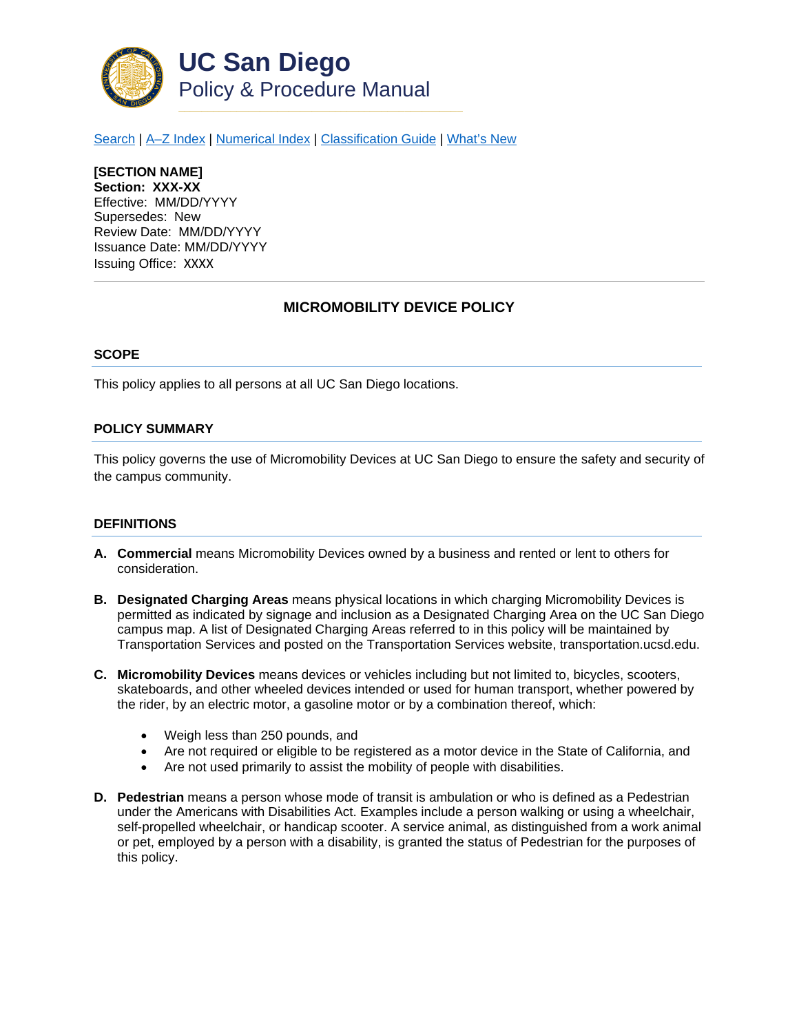

[Search](http://adminrecords.ucsd.edu/ppm/index.html) | [A–Z Index](http://adminrecords.ucsd.edu/ppm/ppmindex.html) | [Numerical Index](http://adminrecords.ucsd.edu/ppm/numerical.html) | [Classification Guide](http://adminrecords.ucsd.edu/ppm/alphabetical.html) | [What's New](http://adminrecords.ucsd.edu/ppm/whatsnew.html)

**[SECTION NAME] Section: XXX-XX** Effective: MM/DD/YYYY Supersedes: New Review Date: MM/DD/YYYY Issuance Date: MM/DD/YYYY Issuing Office:XXXX

# **MICROMOBILITY DEVICE POLICY**

#### **SCOPE**

This policy applies to all persons at all UC San Diego locations.

#### **POLICY SUMMARY**

This policy governs the use of Micromobility Devices at UC San Diego to ensure the safety and security of the campus community.

#### **DEFINITIONS**

- **A. Commercial** means Micromobility Devices owned by a business and rented or lent to others for consideration.
- **B. Designated Charging Areas** means physical locations in which charging Micromobility Devices is permitted as indicated by signage and inclusion as a Designated Charging Area on the UC San Diego campus map. A list of Designated Charging Areas referred to in this policy will be maintained by Transportation Services and posted on the Transportation Services website, transportation.ucsd.edu.
- **C. Micromobility Devices** means devices or vehicles including but not limited to, bicycles, scooters, skateboards, and other wheeled devices intended or used for human transport, whether powered by the rider, by an electric motor, a gasoline motor or by a combination thereof, which:
	- Weigh less than 250 pounds, and
	- Are not required or eligible to be registered as a motor device in the State of California, and
	- Are not used primarily to assist the mobility of people with disabilities.
- **D. Pedestrian** means a person whose mode of transit is ambulation or who is defined as a Pedestrian under the Americans with Disabilities Act. Examples include a person walking or using a wheelchair, self-propelled wheelchair, or handicap scooter. A service animal, as distinguished from a work animal or pet, employed by a person with a disability, is granted the status of Pedestrian for the purposes of this policy.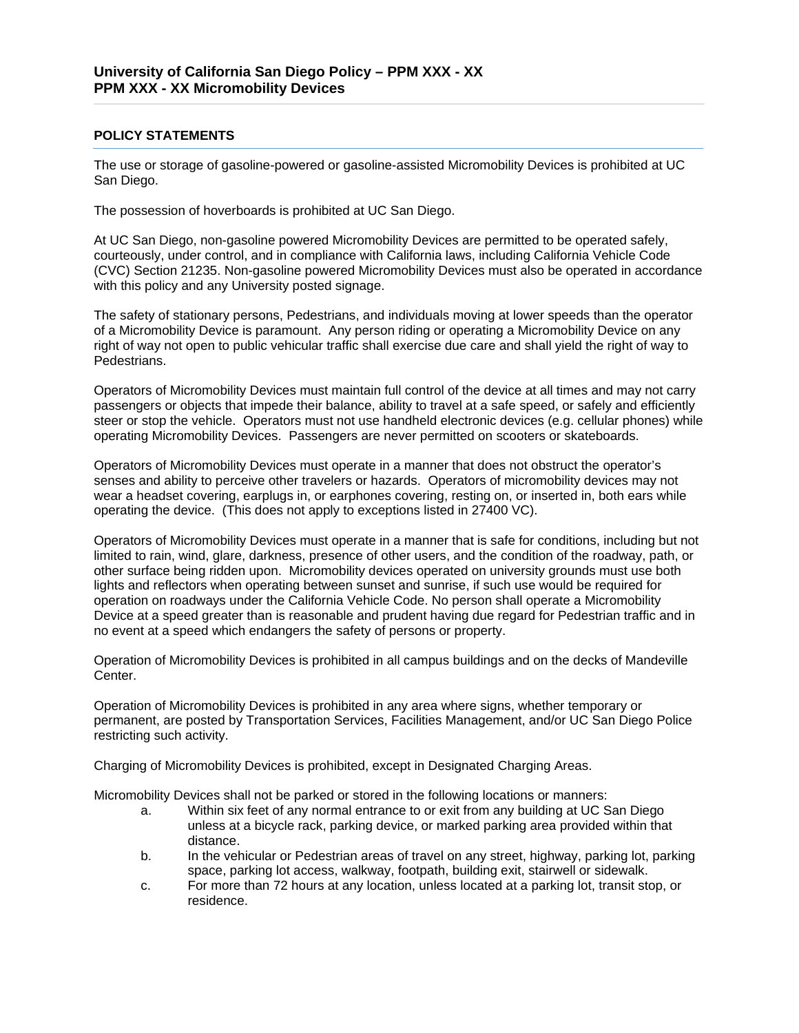### **POLICY STATEMENTS**

The use or storage of gasoline-powered or gasoline-assisted Micromobility Devices is prohibited at UC San Diego.

The possession of hoverboards is prohibited at UC San Diego.

At UC San Diego, non-gasoline powered Micromobility Devices are permitted to be operated safely, courteously, under control, and in compliance with California laws, including California Vehicle Code (CVC) Section 21235. Non-gasoline powered Micromobility Devices must also be operated in accordance with this policy and any University posted signage.

The safety of stationary persons, Pedestrians, and individuals moving at lower speeds than the operator of a Micromobility Device is paramount. Any person riding or operating a Micromobility Device on any right of way not open to public vehicular traffic shall exercise due care and shall yield the right of way to Pedestrians.

Operators of Micromobility Devices must maintain full control of the device at all times and may not carry passengers or objects that impede their balance, ability to travel at a safe speed, or safely and efficiently steer or stop the vehicle. Operators must not use handheld electronic devices (e.g. cellular phones) while operating Micromobility Devices. Passengers are never permitted on scooters or skateboards.

Operators of Micromobility Devices must operate in a manner that does not obstruct the operator's senses and ability to perceive other travelers or hazards. Operators of micromobility devices may not wear a headset covering, earplugs in, or earphones covering, resting on, or inserted in, both ears while operating the device. (This does not apply to exceptions listed in 27400 VC).

Operators of Micromobility Devices must operate in a manner that is safe for conditions, including but not limited to rain, wind, glare, darkness, presence of other users, and the condition of the roadway, path, or other surface being ridden upon. Micromobility devices operated on university grounds must use both lights and reflectors when operating between sunset and sunrise, if such use would be required for operation on roadways under the California Vehicle Code. No person shall operate a Micromobility Device at a speed greater than is reasonable and prudent having due regard for Pedestrian traffic and in no event at a speed which endangers the safety of persons or property.

Operation of Micromobility Devices is prohibited in all campus buildings and on the decks of Mandeville Center.

Operation of Micromobility Devices is prohibited in any area where signs, whether temporary or permanent, are posted by Transportation Services, Facilities Management, and/or UC San Diego Police restricting such activity.

Charging of Micromobility Devices is prohibited, except in Designated Charging Areas.

Micromobility Devices shall not be parked or stored in the following locations or manners:

- a. Within six feet of any normal entrance to or exit from any building at UC San Diego unless at a bicycle rack, parking device, or marked parking area provided within that distance.
- b. In the vehicular or Pedestrian areas of travel on any street, highway, parking lot, parking space, parking lot access, walkway, footpath, building exit, stairwell or sidewalk.
- c. For more than 72 hours at any location, unless located at a parking lot, transit stop, or residence.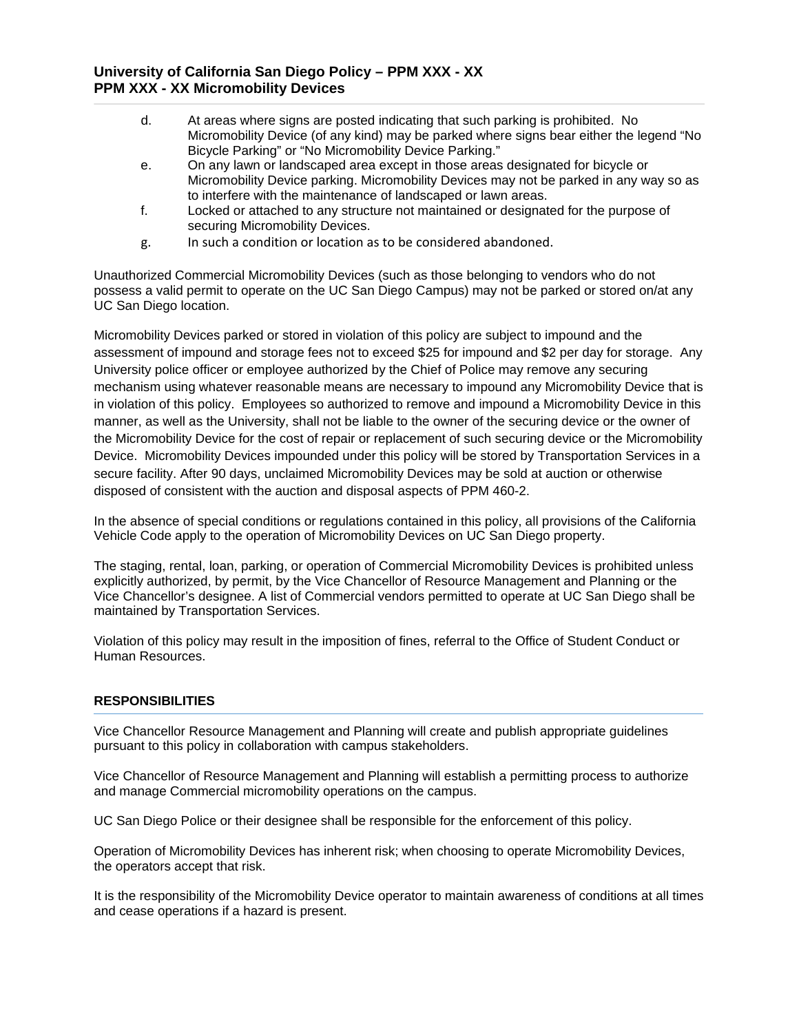- d. At areas where signs are posted indicating that such parking is prohibited. No Micromobility Device (of any kind) may be parked where signs bear either the legend "No Bicycle Parking" or "No Micromobility Device Parking."
- e. On any lawn or landscaped area except in those areas designated for bicycle or Micromobility Device parking. Micromobility Devices may not be parked in any way so as to interfere with the maintenance of landscaped or lawn areas.
- f. Locked or attached to any structure not maintained or designated for the purpose of securing Micromobility Devices.
- g. In such a condition or location as to be considered abandoned.

Unauthorized Commercial Micromobility Devices (such as those belonging to vendors who do not possess a valid permit to operate on the UC San Diego Campus) may not be parked or stored on/at any UC San Diego location.

Micromobility Devices parked or stored in violation of this policy are subject to impound and the assessment of impound and storage fees not to exceed \$25 for impound and \$2 per day for storage. Any University police officer or employee authorized by the Chief of Police may remove any securing mechanism using whatever reasonable means are necessary to impound any Micromobility Device that is in violation of this policy. Employees so authorized to remove and impound a Micromobility Device in this manner, as well as the University, shall not be liable to the owner of the securing device or the owner of the Micromobility Device for the cost of repair or replacement of such securing device or the Micromobility Device. Micromobility Devices impounded under this policy will be stored by Transportation Services in a secure facility. After 90 days, unclaimed Micromobility Devices may be sold at auction or otherwise disposed of consistent with the auction and disposal aspects of PPM 460-2.

In the absence of special conditions or regulations contained in this policy, all provisions of the California Vehicle Code apply to the operation of Micromobility Devices on UC San Diego property.

The staging, rental, loan, parking, or operation of Commercial Micromobility Devices is prohibited unless explicitly authorized, by permit, by the Vice Chancellor of Resource Management and Planning or the Vice Chancellor's designee. A list of Commercial vendors permitted to operate at UC San Diego shall be maintained by Transportation Services.

Violation of this policy may result in the imposition of fines, referral to the Office of Student Conduct or Human Resources.

## **RESPONSIBILITIES**

Vice Chancellor Resource Management and Planning will create and publish appropriate guidelines pursuant to this policy in collaboration with campus stakeholders.

Vice Chancellor of Resource Management and Planning will establish a permitting process to authorize and manage Commercial micromobility operations on the campus.

UC San Diego Police or their designee shall be responsible for the enforcement of this policy.

Operation of Micromobility Devices has inherent risk; when choosing to operate Micromobility Devices, the operators accept that risk.

It is the responsibility of the Micromobility Device operator to maintain awareness of conditions at all times and cease operations if a hazard is present.